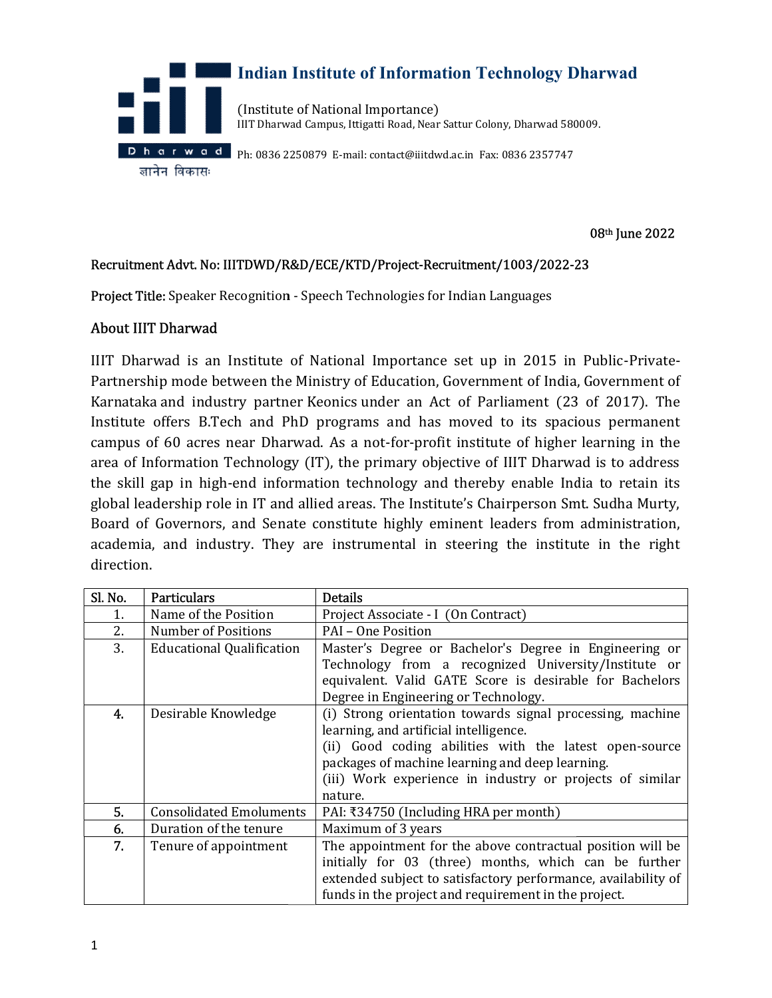

08th June 2022

#### Recruitment Advt. No: IIITDWD/R&D/ECE/KTD/Project-Recruitment/1003/2022-23

Project Title: Speaker Recognition - Speech Technologies for Indian Languages

### About IIIT Dharwad

IIIT Dharwad is an Institute of National Importance set up in 2015 in Public-Private-IIIT Dharwad is an Institute of National Importance set up in 2015 in Public-Private-<br>Partnership mode between the Ministry of Education, Government of India, Government of Karnataka and industry partner Keonics under an Act of Parliament (23 of 2017). The Institute offers B.Tech and PhD programs and has moved to its spacious permanent Institute offers B.Tech and PhD programs and has moved to its spacious permanent<br>campus of 60 acres near Dharwad. As a not-for-profit institute of higher learning in the area of Information Technology (IT), the primary objective of IIIT Dharwad is to address the skill gap in high-end information technology and thereby enable India to retain its global leadership role in IT and allied areas. The Institute's Chairperson Smt. Sudha Murty, Board of Governors, and Senate constitute highly eminent leaders from administration, academia, and industry. They are instrumental in steering the institute in the right direction. igh-end information technology and thereby enable India to retain its<br>role in IT and allied areas. The Institute's Chairperson Smt. Sudha Murty,<br>prs, and Senate constitute highly eminent leaders from administration,<br>idustr ry partner Keonics under an Act of Parliament (23 of 2017). The<br>h and PhD programs and has moved to its spacious permanent<br>ear Dharwad. As a not-for-profit institute of higher learning in the<br>echnology (IT), the primary ob

| Sl. No. | <b>Particulars</b>               | <b>Details</b>                                                                                                  |
|---------|----------------------------------|-----------------------------------------------------------------------------------------------------------------|
| 1.      | Name of the Position             | Project Associate - I (On Contract)                                                                             |
| 2.      | <b>Number of Positions</b>       | PAI – One Position                                                                                              |
| 3.      | <b>Educational Qualification</b> | Master's Degree or Bachelor's Degree in Engineering or                                                          |
|         |                                  | Technology from a recognized University/Institute or<br>equivalent. Valid GATE Score is desirable for Bachelors |
|         |                                  | Degree in Engineering or Technology.                                                                            |
| 4.      | Desirable Knowledge              | (i) Strong orientation towards signal processing, machine                                                       |
|         |                                  | learning, and artificial intelligence.                                                                          |
|         |                                  | (ii) Good coding abilities with the latest open-source                                                          |
|         |                                  | packages of machine learning and deep learning.                                                                 |
|         |                                  | (iii) Work experience in industry or projects of similar                                                        |
|         |                                  | nature.                                                                                                         |
| 5.      | <b>Consolidated Emoluments</b>   | PAI: ₹34750 (Including HRA per month)                                                                           |
| 6.      | Duration of the tenure           | Maximum of 3 years                                                                                              |
| 7.      | Tenure of appointment            | The appointment for the above contractual position will be                                                      |
|         |                                  | initially for 03 (three) months, which can be further                                                           |
|         |                                  | extended subject to satisfactory performance, availability of                                                   |
|         |                                  | funds in the project and requirement in the project.                                                            |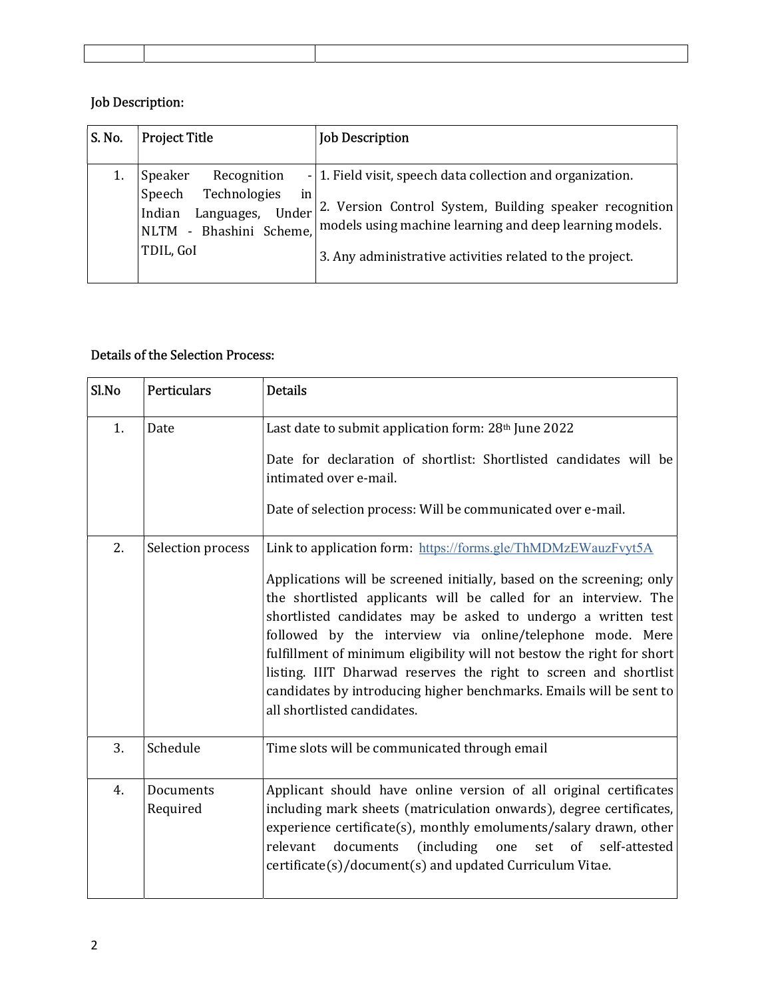# Job Description:

| S. No. | <b>Project Title</b>                                                                                                            | <b>Job Description</b>                                                                                                                                                                                                                       |
|--------|---------------------------------------------------------------------------------------------------------------------------------|----------------------------------------------------------------------------------------------------------------------------------------------------------------------------------------------------------------------------------------------|
|        | Speaker<br>Recognition<br>Technologies<br>Speech<br>in<br>Languages,<br>Under<br>Indian<br>NLTM - Bhashini Scheme,<br>TDIL, GoI | - 1. Field visit, speech data collection and organization.<br>2. Version Control System, Building speaker recognition<br>models using machine learning and deep learning models.<br>3. Any administrative activities related to the project. |

# Details of the Selection Process:

| Sl.No | <b>Perticulars</b>    | <b>Details</b>                                                                                                                                                                                                                                                                                                                                                                                                                                                                                                                                                                              |
|-------|-----------------------|---------------------------------------------------------------------------------------------------------------------------------------------------------------------------------------------------------------------------------------------------------------------------------------------------------------------------------------------------------------------------------------------------------------------------------------------------------------------------------------------------------------------------------------------------------------------------------------------|
| 1.    | Date                  | Last date to submit application form: 28th June 2022<br>Date for declaration of shortlist: Shortlisted candidates will be<br>intimated over e-mail.<br>Date of selection process: Will be communicated over e-mail.                                                                                                                                                                                                                                                                                                                                                                         |
| 2.    | Selection process     | Link to application form: https://forms.gle/ThMDMzEWauzFvyt5A<br>Applications will be screened initially, based on the screening; only<br>the shortlisted applicants will be called for an interview. The<br>shortlisted candidates may be asked to undergo a written test<br>followed by the interview via online/telephone mode. Mere<br>fulfillment of minimum eligibility will not bestow the right for short<br>listing. IIIT Dharwad reserves the right to screen and shortlist<br>candidates by introducing higher benchmarks. Emails will be sent to<br>all shortlisted candidates. |
| 3.    | Schedule              | Time slots will be communicated through email                                                                                                                                                                                                                                                                                                                                                                                                                                                                                                                                               |
| 4.    | Documents<br>Required | Applicant should have online version of all original certificates<br>including mark sheets (matriculation onwards), degree certificates,<br>experience certificate(s), monthly emoluments/salary drawn, other<br>(including)<br>documents<br>set of self-attested<br>relevant<br>one<br>certificate(s)/document(s) and updated Curriculum Vitae.                                                                                                                                                                                                                                            |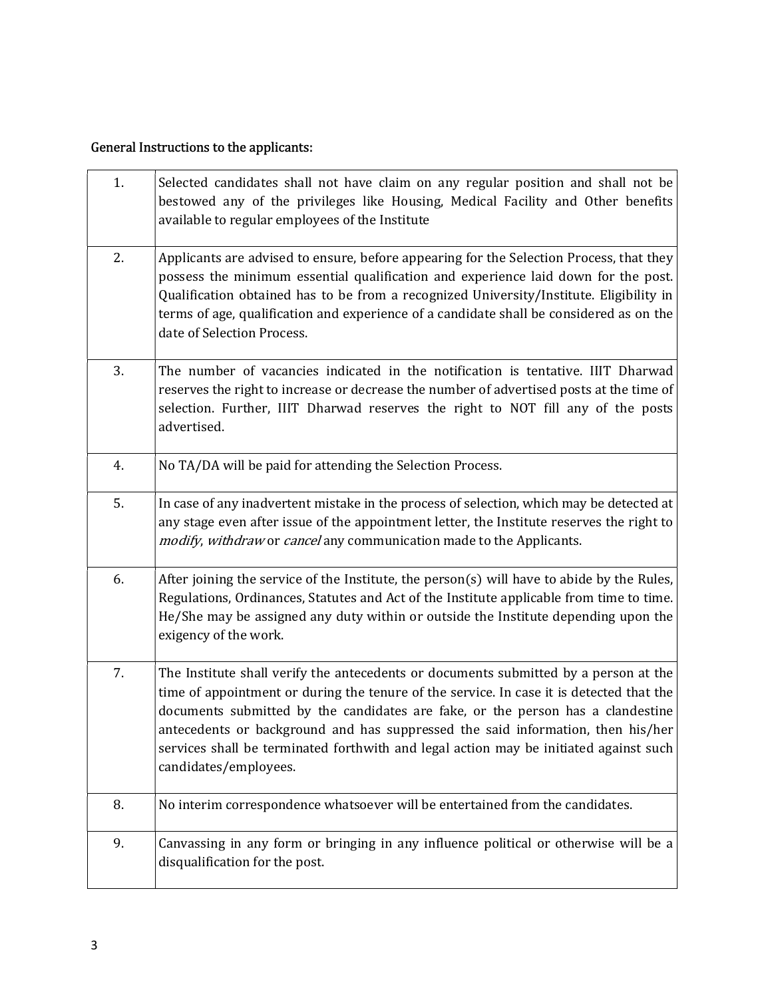# General Instructions to the applicants:

| 1. | Selected candidates shall not have claim on any regular position and shall not be<br>bestowed any of the privileges like Housing, Medical Facility and Other benefits<br>available to regular employees of the Institute                                                                                                                                                                                                                                                 |
|----|--------------------------------------------------------------------------------------------------------------------------------------------------------------------------------------------------------------------------------------------------------------------------------------------------------------------------------------------------------------------------------------------------------------------------------------------------------------------------|
| 2. | Applicants are advised to ensure, before appearing for the Selection Process, that they<br>possess the minimum essential qualification and experience laid down for the post.<br>Qualification obtained has to be from a recognized University/Institute. Eligibility in<br>terms of age, qualification and experience of a candidate shall be considered as on the<br>date of Selection Process.                                                                        |
| 3. | The number of vacancies indicated in the notification is tentative. IIIT Dharwad<br>reserves the right to increase or decrease the number of advertised posts at the time of<br>selection. Further, IIIT Dharwad reserves the right to NOT fill any of the posts<br>advertised.                                                                                                                                                                                          |
| 4. | No TA/DA will be paid for attending the Selection Process.                                                                                                                                                                                                                                                                                                                                                                                                               |
| 5. | In case of any inadvertent mistake in the process of selection, which may be detected at<br>any stage even after issue of the appointment letter, the Institute reserves the right to<br>modify, withdraw or cancel any communication made to the Applicants.                                                                                                                                                                                                            |
| 6. | After joining the service of the Institute, the person(s) will have to abide by the Rules,<br>Regulations, Ordinances, Statutes and Act of the Institute applicable from time to time.<br>He/She may be assigned any duty within or outside the Institute depending upon the<br>exigency of the work.                                                                                                                                                                    |
| 7. | The Institute shall verify the antecedents or documents submitted by a person at the<br>time of appointment or during the tenure of the service. In case it is detected that the<br>documents submitted by the candidates are fake, or the person has a clandestine<br>antecedents or background and has suppressed the said information, then his/her<br>services shall be terminated forthwith and legal action may be initiated against such<br>candidates/employees. |
| 8. | No interim correspondence whatsoever will be entertained from the candidates.                                                                                                                                                                                                                                                                                                                                                                                            |
| 9. | Canvassing in any form or bringing in any influence political or otherwise will be a<br>disqualification for the post.                                                                                                                                                                                                                                                                                                                                                   |